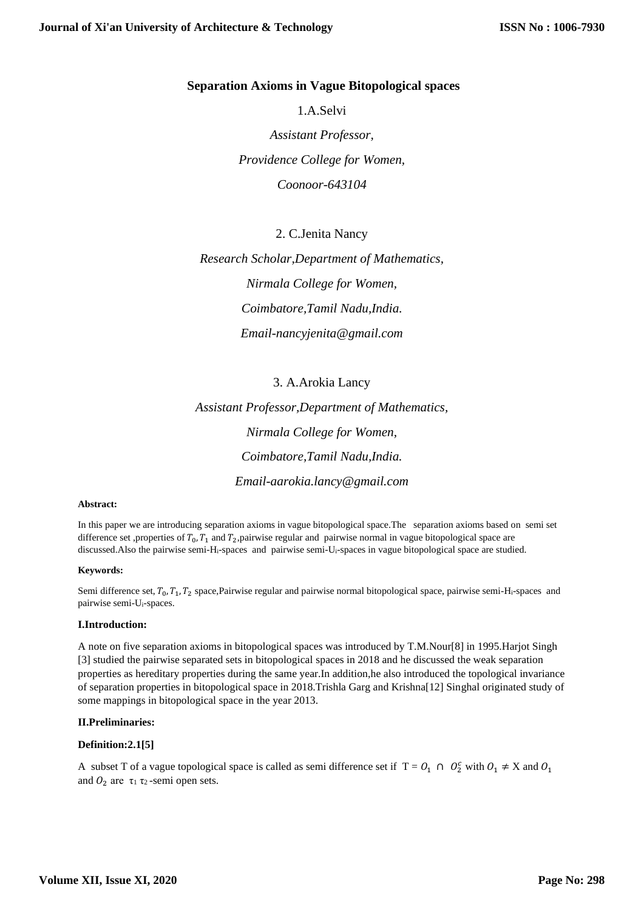# **Separation Axioms in Vague Bitopological spaces**

1.A.Selvi *Assistant Professor, Providence College for Women, Coonoor-643104*

2. C.Jenita Nancy

*Research Scholar,Department of Mathematics, Nirmala College for Women, Coimbatore,Tamil Nadu,India. Email-nancyjenita@gmail.com*

3. A.Arokia Lancy *Assistant Professor,Department of Mathematics, Nirmala College for Women, Coimbatore,Tamil Nadu,India. Email-aarokia.lancy@gmail.com*

#### **Abstract:**

In this paper we are introducing separation axioms in vague bitopological space.The separation axioms based on semi set difference set ,properties of  $T_0$ ,  $T_1$  and  $T_2$ ,pairwise regular and pairwise normal in vague bitopological space are discussed.Also the pairwise semi-Hi-spaces and pairwise semi-Ui-spaces in vague bitopological space are studied.

#### **Keywords:**

Semi difference set,  $T_0$ ,  $T_1$ ,  $T_2$  space, Pairwise regular and pairwise normal bitopological space, pairwise semi-Hi-spaces and pairwise semi-Ui-spaces.

#### **I.Introduction:**

A note on five separation axioms in bitopological spaces was introduced by T.M.Nour[8] in 1995.Harjot Singh [3] studied the pairwise separated sets in bitopological spaces in 2018 and he discussed the weak separation properties as hereditary properties during the same year.In addition,he also introduced the topological invariance of separation properties in bitopological space in 2018.Trishla Garg and Krishna[12] Singhal originated study of some mappings in bitopological space in the year 2013.

#### **II.Preliminaries:**

#### **Definition:2.1[5]**

A subset T of a vague topological space is called as semi difference set if  $T = 0_1 \cap 0_2^c$  with  $0_1 \neq X$  and  $0_1$ and  $O_2$  are  $\tau_1 \tau_2$ -semi open sets.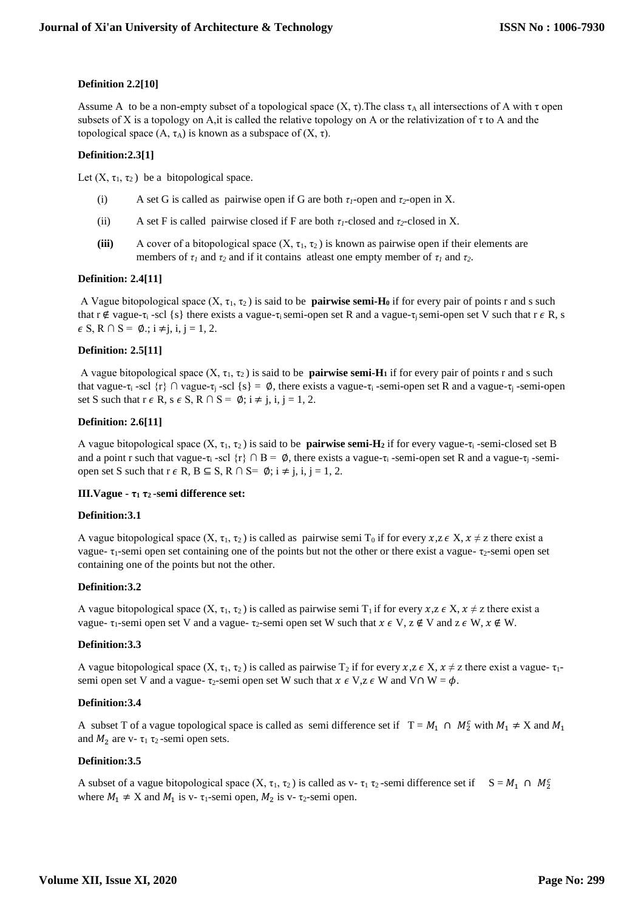# **Definition 2.2[10]**

Assume A to be a non-empty subset of a topological space  $(X, \tau)$ . The class  $\tau_A$  all intersections of A with  $\tau$  open subsets of X is a topology on A,it is called the relative topology on A or the relativization of  $\tau$  to A and the topological space  $(A, \tau_A)$  is known as a subspace of  $(X, \tau)$ .

# **Definition:2.3[1]**

Let  $(X, \tau_1, \tau_2)$  be a bitopological space.

- (i) A set G is called as pairwise open if G are both  $\tau_1$ -open and  $\tau_2$ -open in X.
- (ii) A set F is called pairwise closed if F are both  $\tau_1$ -closed and  $\tau_2$ -closed in X.
- (iii) A cover of a bitopological space  $(X, \tau_1, \tau_2)$  is known as pairwise open if their elements are members of  $\tau_1$  and  $\tau_2$  and if it contains at least one empty member of  $\tau_1$  and  $\tau_2$ .

# **Definition: 2.4[11]**

A Vague bitopological space  $(X, \tau_1, \tau_2)$  is said to be **pairwise semi-H**<sup>0</sup> if for every pair of points r and s such that r ∉ vague-τ<sub>i</sub> -scl {s} there exists a vague-τ<sub>i</sub> semi-open set R and a vague-τ<sub>i</sub> semi-open set V such that r  $\epsilon$  R, s  $\epsilon$  S, R  $\cap$  S =  $\emptyset$ .; i  $\neq$  j, i, j = 1, 2.

### **Definition: 2.5[11]**

A vague bitopological space  $(X, \tau_1, \tau_2)$  is said to be **pairwise semi-H<sub>1</sub>** if for every pair of points r and s such that vague-τ<sub>i</sub> -scl {r} ∩ vague-τ<sub>i</sub> -scl {s} =  $\emptyset$ , there exists a vague-τ<sub>i</sub> -semi-open set R and a vague-τ<sub>i</sub> -semi-open set S such that  $r \in R$ ,  $s \in S$ ,  $R \cap S = \emptyset$ ;  $i \neq j$ ,  $i, j = 1, 2$ .

### **Definition: 2.6[11]**

A vague bitopological space  $(X, \tau_1, \tau_2)$  is said to be **pairwise semi-H**<sub>2</sub> if for every vague- $\tau_i$ -semi-closed set B and a point r such that vague-τ<sub>i</sub> -scl  $\{r\} \cap B = \emptyset$ , there exists a vague-τ<sub>i</sub> -semi-open set R and a vague-τ<sub>i</sub> -semiopen set S such that  $r \in R$ ,  $B \subseteq S$ ,  $R \cap S = \emptyset$ ;  $i \neq j$ ,  $i, j = 1, 2$ .

#### **III.Vague - τ<sup>1</sup> τ2 -semi difference set:**

### **Definition:3.1**

A vague bitopological space  $(X, \tau_1, \tau_2)$  is called as pairwise semi T<sub>0</sub> if for every  $x, z \in X$ ,  $x \neq z$  there exist a vague-  $\tau_1$ -semi open set containing one of the points but not the other or there exist a vague-  $\tau_2$ -semi open set containing one of the points but not the other.

# **Definition:3.2**

A vague bitopological space  $(X, \tau_1, \tau_2)$  is called as pairwise semi  $T_1$  if for every  $x, z \in X$ ,  $x \neq z$  there exist a vague-  $\tau_1$ -semi open set V and a vague-  $\tau_2$ -semi open set W such that  $x \in V$ ,  $z \notin V$  and  $z \in W$ ,  $x \notin W$ .

#### **Definition:3.3**

A vague bitopological space  $(X, \tau_1, \tau_2)$  is called as pairwise  $T_2$  if for every  $x, z \in X$ ,  $x \neq z$  there exist a vague- $\tau_1$ semi open set V and a vague-  $\tau_2$ -semi open set W such that  $x \in V$ ,  $z \in W$  and  $V \cap W = \phi$ .

#### **Definition:3.4**

A subset T of a vague topological space is called as semi difference set if  $T = M_1 \cap M_2^c$  with  $M_1 \neq X$  and  $M_1$ and  $M_2$  are v-  $\tau_1$   $\tau_2$ -semi open sets.

### **Definition:3.5**

A subset of a vague bitopological space  $(X, \tau_1, \tau_2)$  is called as v-  $\tau_1 \tau_2$ -semi difference set if  $S = M_1 \cap M_2^c$ where  $M_1 \neq X$  and  $M_1$  is v-  $\tau_1$ -semi open,  $M_2$  is v-  $\tau_2$ -semi open.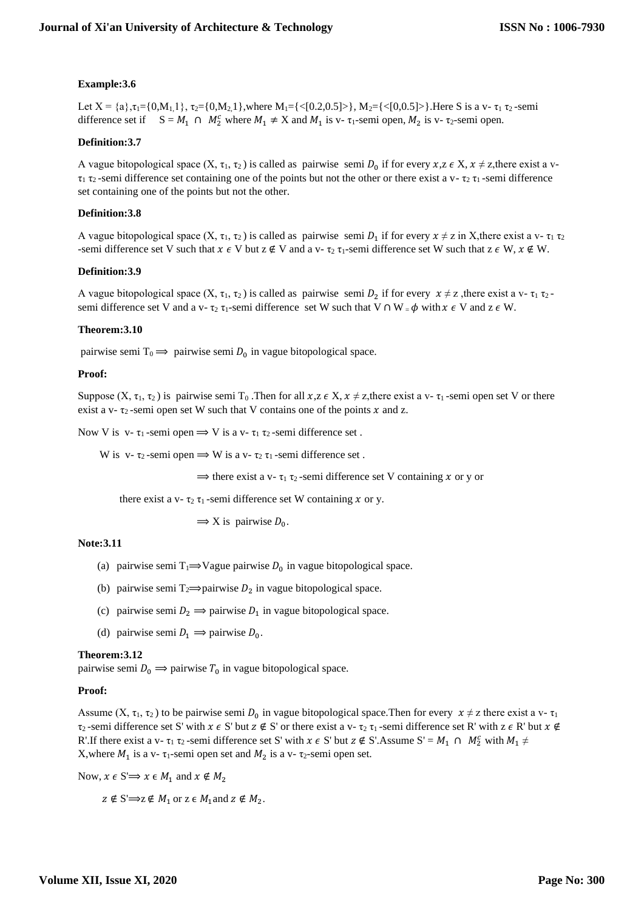# **Example:3.6**

Let  $X = \{a\}, \tau_1 = \{0, M_1, \ldots\}$ ,  $\tau_2 = \{0, M_2, \ldots\}$ , where  $M_1 = \{ \langle 0.2, 0.5 \rangle \}$ ,  $M_2 = \{ \langle 0.0.5 \rangle \}$ . Here S is a v-  $\tau_1$   $\tau_2$ -semi difference set if  $S = M_1 \cap M_2^c$  where  $M_1 \neq X$  and  $M_1$  is v-  $\tau_1$ -semi open,  $M_2$  is v-  $\tau_2$ -semi open.

### **Definition:3.7**

A vague bitopological space  $(X, \tau_1, \tau_2)$  is called as pairwise semi  $D_0$  if for every  $x, z \in X$ ,  $x \neq z$ , there exist a v- $\tau_1$   $\tau_2$ -semi difference set containing one of the points but not the other or there exist a v-  $\tau_2$   $\tau_1$ -semi difference set containing one of the points but not the other.

#### **Definition:3.8**

A vague bitopological space  $(X, \tau_1, \tau_2)$  is called as pairwise semi  $D_1$  if for every  $x \neq z$  in X, there exist a v- $\tau_1 \tau_2$ -semi difference set V such that  $x \in V$  but  $z \notin V$  and a v-  $\tau_2 \tau_1$ -semi difference set W such that  $z \in W$ ,  $x \notin W$ .

#### **Definition:3.9**

A vague bitopological space  $(X, \tau_1, \tau_2)$  is called as pairwise semi  $D_2$  if for every  $x \neq z$ , there exist a v- $\tau_1 \tau_2$ semi difference set V and a v-  $\tau_2 \tau_1$ -semi difference set W such that V  $\cap W = \phi$  with  $x \in V$  and  $z \in W$ .

### **Theorem:3.10**

pairwise semi T<sub>0</sub>  $\Rightarrow$  pairwise semi D<sub>0</sub> in vague bitopological space.

#### **Proof:**

Suppose  $(X, \tau_1, \tau_2)$  is pairwise semi T<sub>0</sub>. Then for all  $x, z \in X$ ,  $x \neq z$ , there exist a v-  $\tau_1$ -semi open set V or there exist a v-  $\tau_2$ -semi open set W such that V contains one of the points x and z.

Now V is v-  $\tau_1$ -semi open  $\Rightarrow$  V is a v-  $\tau_1$   $\tau_2$ -semi difference set.

W is v-  $\tau_2$ -semi open  $\Rightarrow$  W is a v-  $\tau_2$   $\tau_1$ -semi difference set.

 $\Rightarrow$  there exist a v-  $\tau_1$   $\tau_2$ -semi difference set V containing x or y or

there exist a v-  $\tau_2 \tau_1$ -semi difference set W containing x or y.

 $\Rightarrow$  X is pairwise  $D_0$ .

### **Note:3.11**

- (a) pairwise semi  $T_1 \Rightarrow V$ ague pairwise  $D_0$  in vague bitopological space.
- (b) pairwise semi  $T_2 \implies$  pairwise  $D_2$  in vague bitopological space.
- (c) pairwise semi  $D_2 \implies$  pairwise  $D_1$  in vague bitopological space.
- (d) pairwise semi  $D_1 \implies$  pairwise  $D_0$ .

#### **Theorem:3.12**

pairwise semi  $D_0 \implies$  pairwise  $T_0$  in vague bitopological space.

#### **Proof:**

Assume  $(X, \tau_1, \tau_2)$  to be pairwise semi  $D_0$  in vague bitopological space. Then for every  $x \neq z$  there exist a v- $\tau_1$  $\tau_2$ -semi difference set S' with  $x \in S'$  but  $z \notin S'$  or there exist a v- $\tau_2 \tau_1$ -semi difference set R' with  $z \in R'$  but  $x \notin S'$ R'.If there exist a v-  $\tau_1$   $\tau_2$ -semi difference set S' with  $x \in S'$  but  $z \notin S'$ . Assume  $S' = M_1 \cap M_2^c$  with  $M_1 \neq$ X, where  $M_1$  is a v-  $\tau_1$ -semi open set and  $M_2$  is a v-  $\tau_2$ -semi open set.

Now,  $x \in S \implies x \in M_1$  and  $x \notin M_2$ 

 $z \notin S \implies z \notin M_1$  or  $z \in M_1$  and  $z \notin M_2$ .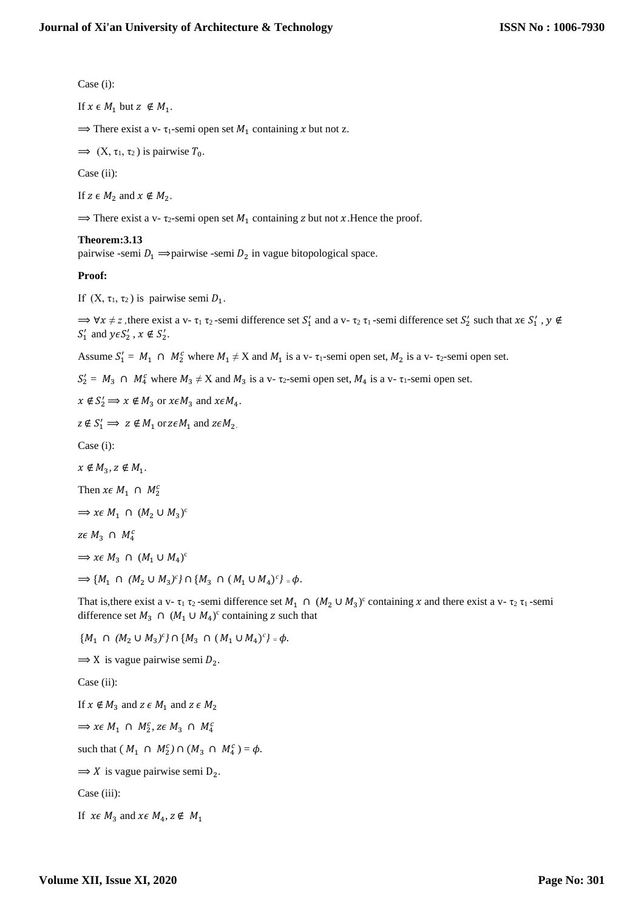Case (i):

$$
\text{If } x \in M_1 \text{ but } z \notin M_1.
$$

 $\Rightarrow$  There exist a v-  $\tau_1$ -semi open set  $M_1$  containing x but not z.

 $\implies$  (X,  $\tau_1$ ,  $\tau_2$ ) is pairwise  $T_0$ .

Case (ii):

If  $z \in M_2$  and  $x \notin M_2$ .

 $\Rightarrow$  There exist a v-  $\tau_2$ -semi open set  $M_1$  containing z but not x. Hence the proof.

### **Theorem:3.13**

pairwise -semi  $D_1 \implies$ pairwise -semi  $D_2$  in vague bitopological space.

### **Proof:**

If  $(X, \tau_1, \tau_2)$  is pairwise semi  $D_1$ .

 $\Rightarrow \forall x \neq z$ , there exist a v-  $\tau_1 \tau_2$ -semi difference set  $S'_1$  and a v-  $\tau_2 \tau_1$ -semi difference set  $S'_2$  such that  $x \in S'_1$ ,  $y \notin \mathcal{S}'$  $S'_1$  and  $y \in S'_2$ ,  $x \notin S'_2$ .

Assume  $S'_1 = M_1 \cap M_2^c$  where  $M_1 \neq X$  and  $M_1$  is a v-  $\tau_1$ -semi open set,  $M_2$  is a v-  $\tau_2$ -semi open set.

 $S'_2 = M_3 \cap M_4^c$  where  $M_3 \neq X$  and  $M_3$  is a v-  $\tau_2$ -semi open set,  $M_4$  is a v-  $\tau_1$ -semi open set.

 $x \notin S'_2 \Longrightarrow x \notin M_3$  or  $x \in M_3$  and  $x \in M_4$ .

 $z \notin S'_1 \implies z \notin M_1$  or  $z \in M_1$  and  $z \in M_2$ .

Case (i):

 $x \notin M_3$ ,  $z \notin M_1$ .

Then  $x \in M_1 \cap M_2^c$ 

$$
\implies x \in M_1 \cap (M_2 \cup M_3)^c
$$

 $z \in M_3 \cap M_4^c$ 

 $\Rightarrow$  *x* $\in$  *M*<sub>3</sub>  $\cap$   $(M_1 \cup M_4)^c$ 

 $\Rightarrow$  { $M_1 \cap (M_2 \cup M_3)^c$ }  $\cap$  { $M_3 \cap (M_1 \cup M_4)^c$ } =  $\phi$ .

That is, there exist a v-  $\tau_1$   $\tau_2$ -semi difference set  $M_1 \cap (M_2 \cup M_3)^c$  containing x and there exist a v-  $\tau_2$   $\tau_1$ -semi difference set  $M_3 \cap (M_1 \cup M_4)^c$  containing z such that

 $\{M_1 \cap (M_2 \cup M_3)^c\} \cap \{M_3 \cap (M_1 \cup M_4)^c\} = \phi.$  $\Rightarrow$  X is vague pairwise semi  $D_2$ . Case (ii): If  $x \notin M_3$  and  $z \in M_1$  and  $z \in M_2$  $\Rightarrow$  *x* $\in$  *M*<sub>1</sub>  $\cap$  *M*<sub>2</sub><sup>*c*</sup>, *z* $\in$  *M*<sub>3</sub>  $\cap$  *M*<sub>4</sub><sup>*c*</sup> such that  $(M_1 \cap M_2^c) \cap (M_3 \cap M_4^c) = \phi$ .  $\Rightarrow$  X is vague pairwise semi D<sub>2</sub>. Case (iii): If  $x \in M_3$  and  $x \in M_4$ ,  $z \notin M_1$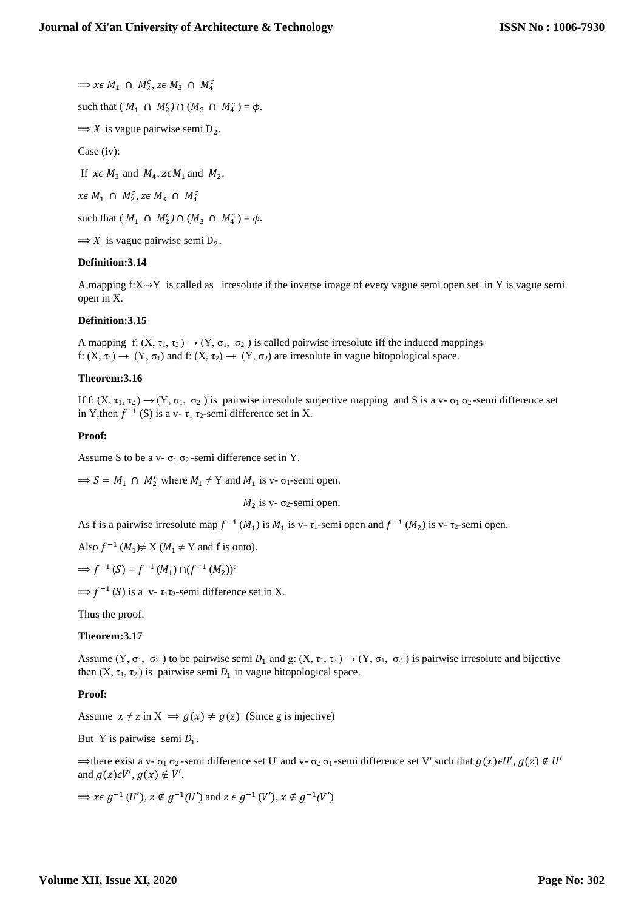$\Rightarrow$  *x* $\in$  *M*<sub>1</sub>  $\cap$  *M*<sub>2</sub><sup>*c*</sup>, *z* $\in$  *M*<sub>3</sub>  $\cap$  *M*<sub>4</sub><sup>*c*</sup>

such that  $(M_1 \cap M_2^c) \cap (M_3 \cap M_4^c) = \phi$ .

 $\Rightarrow$  X is vague pairwise semi D<sub>2</sub>.

Case (iv):

If  $x \in M_3$  and  $M_4$ ,  $z \in M_1$  and  $M_2$ .

 $x \in M_1 \cap M_2^c$ ,  $z \in M_3 \cap M_4^c$ 

such that  $(M_1 \cap M_2^c) \cap (M_3 \cap M_4^c) = \phi$ .

 $\Rightarrow$  X is vague pairwise semi D<sub>2</sub>.

# **Definition:3.14**

A mapping  $f: X \rightarrow Y$  is called as irresolute if the inverse image of every vague semi open set in Y is vague semi open in X.

# **Definition:3.15**

A mapping f:  $(X, \tau_1, \tau_2) \rightarrow (Y, \sigma_1, \sigma_2)$  is called pairwise irresolute iff the induced mappings f:  $(X, \tau_1) \rightarrow (Y, \sigma_1)$  and f:  $(X, \tau_2) \rightarrow (Y, \sigma_2)$  are irresolute in vague bitopological space.

# **Theorem:3.16**

If f:  $(X, \tau_1, \tau_2) \rightarrow (Y, \sigma_1, \sigma_2)$  is pairwise irresolute surjective mapping and S is a v- $\sigma_1 \sigma_2$ -semi difference set in Y, then  $f^{-1}(S)$  is a v-  $\tau_1 \tau_2$ -semi difference set in X.

# **Proof:**

Assume S to be a v- $\sigma_1 \sigma_2$ -semi difference set in Y.

 $\Rightarrow S = M_1 \cap M_2^c$  where  $M_1 \neq Y$  and  $M_1$  is v-  $\sigma_1$ -semi open.

 $M_2$  $M_2$  is v-  $\sigma_2$ -semi open.

As f is a pairwise irresolute map  $f^{-1}(M_1)$  is  $M_1$  is v-  $\tau_1$ -semi open and  $f^{-1}(M_2)$  is v-  $\tau_2$ -semi open.

Also  $f^{-1}(M_1) \neq X (M_1 \neq Y)$  and f is onto).

$$
\Rightarrow f^{-1}(S) = f^{-1}(M_1) \cap (f^{-1}(M_2))^c
$$

 $\Rightarrow f^{-1}(S)$  is a v-  $\tau_1 \tau_2$ -semi difference set in X.

Thus the proof.

# **Theorem:3.17**

Assume  $(Y, \sigma_1, \sigma_2)$  to be pairwise semi  $D_1$  and  $g: (X, \tau_1, \tau_2) \to (Y, \sigma_1, \sigma_2)$  is pairwise irresolute and bijective then  $(X, \tau_1, \tau_2)$  is pairwise semi  $D_1$  in vague bitopological space.

# **Proof:**

Assume  $x \neq z$  in  $X \implies q(x) \neq q(z)$  (Since g is injective)

But Y is pairwise semi  $D_1$ .

 $\Rightarrow$  there exist a v-  $\sigma_1$   $\sigma_2$ -semi difference set U' and v-  $\sigma_2$   $\sigma_1$ -semi difference set V' such that  $g(x) \in U'$ ,  $g(z) \notin U'$ and  $g(z) \in V', g(x) \notin V'.$ 

 $\Rightarrow$  *x*∈ *g*<sup>-1</sup>(*U'*), *z* ∉ *g*<sup>-1</sup>(*U'*) and *z* ∈ *g*<sup>-1</sup>(*V'*), *x* ∉ *g*<sup>-1</sup>(*V'*)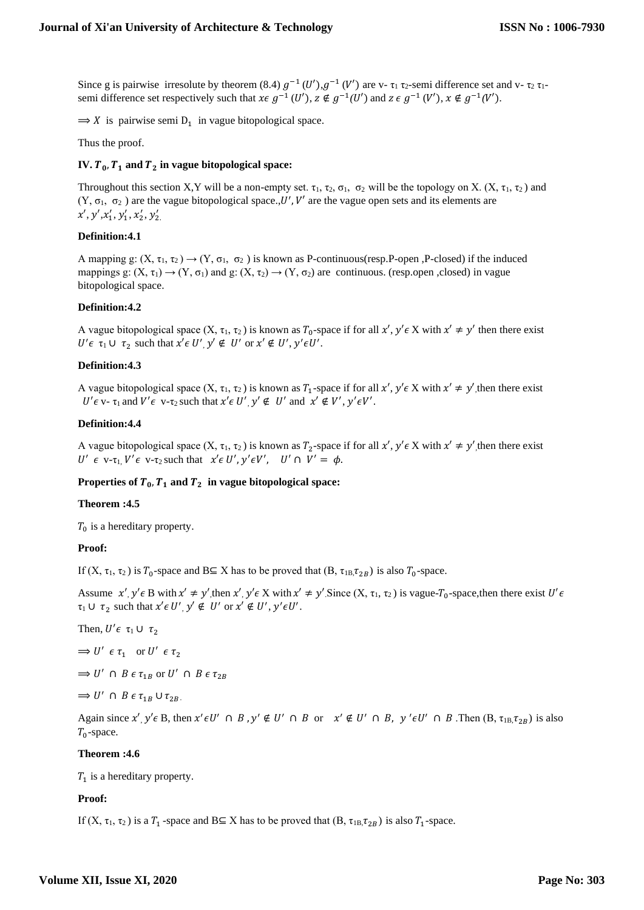Since g is pairwise irresolute by theorem (8.4)  $g^{-1}(U')$ ,  $g^{-1}(V')$  are v-  $\tau_1$   $\tau_2$ -semi difference set and v-  $\tau_2$   $\tau_1$ semi difference set respectively such that  $x \in g^{-1}(U')$ ,  $z \notin g^{-1}(U')$  and  $z \in g^{-1}(V')$ ,  $x \notin g^{-1}(V')$ .

 $\Rightarrow$  X is pairwise semi D<sub>1</sub> in vague bitopological space.

Thus the proof.

# **IV.**  $T_0$ ,  $T_1$  and  $T_2$  in vague bitopological space:

Throughout this section X,Y will be a non-empty set.  $\tau_1$ ,  $\tau_2$ ,  $\sigma_1$ ,  $\sigma_2$  will be the topology on X. (X,  $\tau_1$ ,  $\tau_2$ ) and  $(Y, \sigma_1, \sigma_2)$  are the vague bitopological space., U', V' are the vague open sets and its elements are  $x', y', x'_1, y'_1, x'_2, y'_2$ 

### **Definition:4.1**

A mapping g:  $(X, \tau_1, \tau_2) \rightarrow (Y, \sigma_1, \sigma_2)$  is known as P-continuous(resp.P-open ,P-closed) if the induced mappings g:  $(X, \tau_1) \rightarrow (Y, \sigma_1)$  and g:  $(X, \tau_2) \rightarrow (Y, \sigma_2)$  are continuous. (resp.open ,closed) in vague bitopological space.

### **Definition:4.2**

A vague bitopological space  $(X, \tau_1, \tau_2)$  is known as  $T_0$ -space if for all  $x', y' \in X$  with  $x' \neq y'$  then there exist  $U' \in \tau_1 \cup \tau_2$  such that  $x' \in U'$ ,  $y' \notin U'$  or  $x' \notin U'$ ,  $y' \in U'$ .

### **Definition:4.3**

A vague bitopological space  $(X, \tau_1, \tau_2)$  is known as  $T_1$ -space if for all  $x', y' \in X$  with  $x' \neq y'$ , then there exist  $U' \in V$ -  $\tau_1$  and  $V' \in V$ - $\tau_2$  such that  $x' \in U'$ ,  $y' \notin U'$  and  $x' \notin V'$ ,  $y' \in V'$ .

### **Definition:4.4**

A vague bitopological space  $(X, \tau_1, \tau_2)$  is known as  $T_2$ -space if for all  $x', y' \in X$  with  $x' \neq y'$ , then there exist U'  $\epsilon$  v- $\tau_1$ , V' $\epsilon$  v- $\tau_2$  such that  $x' \epsilon U'$ ,  $y' \epsilon V'$ , U'  $\cap$  V' =  $\phi$ .

#### Properties of  $T_0$ ,  $T_1$  and  $T_2$  in vague bitopological space:

#### **Theorem :4.5**

 $T_0$  is a hereditary property.

#### **Proof:**

If  $(X, \tau_1, \tau_2)$  is  $T_0$ -space and B⊆ X has to be proved that  $(B, \tau_{1B}, \tau_{2B})$  is also  $T_0$ -space.

Assume  $x', y' \in B$  with  $x' \neq y'$ , then  $x', y' \in X$  with  $x' \neq y'$ . Since  $(X, \tau_1, \tau_2)$  is vague- $T_0$ -space, then there exist  $U' \in B$  $\tau_1 \cup \tau_2$  such that  $x' \in U'$ ,  $y' \notin U'$  or  $x' \notin U'$ ,  $y' \in U'$ .

Then,  $U' \epsilon \tau_1 \cup \tau_2$ 

$$
\Rightarrow U' \epsilon \tau_1 \quad \text{or } U' \epsilon \tau_2
$$

 $\Rightarrow$  U'  $\cap$  B  $\epsilon \tau_{1B}$  or U'  $\cap$  B  $\epsilon \tau_{2B}$ 

$$
\implies U' \cap B \in \tau_{1B} \cup \tau_{2B}.
$$

Again since  $x'$ ,  $y' \in B$ , then  $x' \in U' \cap B$ ,  $y' \notin U' \cap B$  or  $x' \notin U' \cap B$ ,  $y' \in U' \cap B$ . Then  $(B, \tau_{1B}, \tau_{2B})$  is also  $T_0$ -space.

#### **Theorem :4.6**

 $T_1$  is a hereditary property.

# **Proof:**

If  $(X, \tau_1, \tau_2)$  is a  $T_1$ -space and B $\subseteq$  X has to be proved that  $(B, \tau_{1B}, \tau_{2B})$  is also  $T_1$ -space.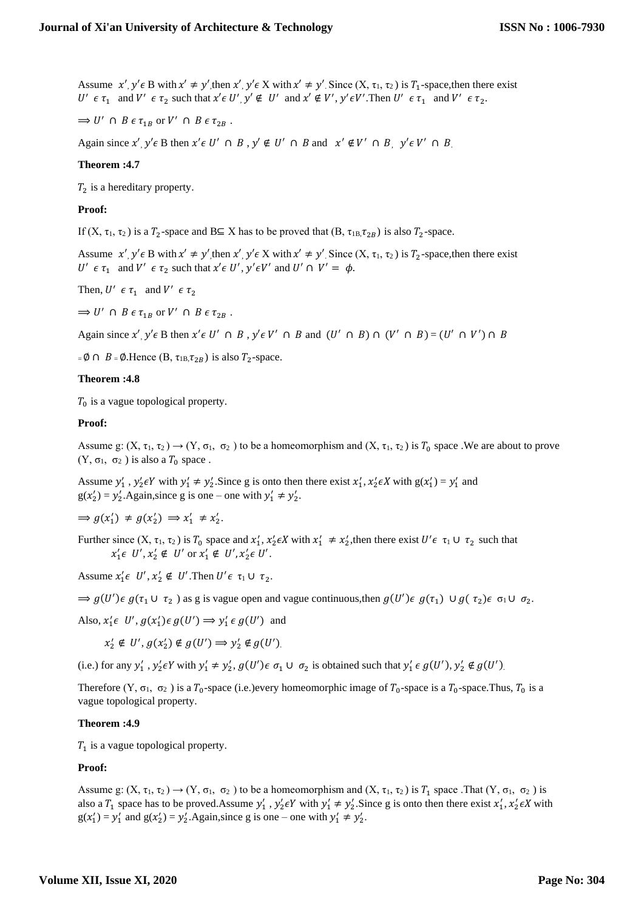Assume  $x', y' \in B$  with  $x' \neq y'$ , then  $x', y' \in X$  with  $x' \neq y'$ . Since  $(X, \tau_1, \tau_2)$  is  $T_1$ -space, then there exist  $U' \in \tau_1$  and  $V' \in \tau_2$  such that  $x' \in U'$ ,  $y' \notin U'$  and  $x' \notin V'$ ,  $y' \in V'$ . Then  $U' \in \tau_1$  and  $V' \in \tau_2$ .

 $\Rightarrow$  U'  $\cap$  B  $\epsilon \tau_{1B}$  or V'  $\cap$  B  $\epsilon \tau_{2B}$ .

Again since  $x'$ ,  $y' \in B$  then  $x' \in U' \cap B$ ,  $y' \notin U' \cap B$  and  $x' \notin V' \cap B$ ,  $y' \in V' \cap B$ .

### **Theorem :4.7**

 $T_2$  is a hereditary property.

### **Proof:**

If  $(X, \tau_1, \tau_2)$  is a  $T_2$ -space and B $\subseteq$  X has to be proved that  $(B, \tau_{1B}, \tau_{2B})$  is also  $T_2$ -space.

Assume  $x', y' \in B$  with  $x' \neq y'$ , then  $x', y' \in X$  with  $x' \neq y'$ . Since  $(X, \tau_1, \tau_2)$  is  $T_2$ -space, then there exist *U'*  $\epsilon \tau_1$  and *V'*  $\epsilon \tau_2$  such that  $x' \epsilon$  *U'*,  $y' \epsilon V'$  and *U'*  $\cap$  *V'* =  $\phi$ .

Then,  $U' \in \tau_1$  and  $V' \in \tau_2$ 

 $\Rightarrow$  U'  $\cap$  B  $\epsilon \tau_{1B}$  or V'  $\cap$  B  $\epsilon \tau_{2B}$ .

Again since  $x'$ ,  $y' \in B$  then  $x' \in U' \cap B$ ,  $y' \in V' \cap B$  and  $(U' \cap B) \cap (V' \cap B) = (U' \cap V') \cap B$ 

 $= \emptyset \cap B = \emptyset$ . Hence  $(B, \tau_{1B}, \tau_{2B})$  is also  $T_2$ -space.

#### **Theorem :4.8**

 $T_0$  is a vague topological property.

# **Proof:**

Assume g:  $(X, \tau_1, \tau_2) \to (Y, \sigma_1, \sigma_2)$  to be a homeomorphism and  $(X, \tau_1, \tau_2)$  is  $T_0$  space. We are about to prove  $(Y, \sigma_1, \sigma_2)$  is also a  $T_0$  space.

Assume  $y'_1$ ,  $y'_2 \in Y$  with  $y'_1 \neq y'_2$ . Since g is onto then there exist  $x'_1$ ,  $x'_2 \in X$  with  $g(x'_1) = y'_1$  and  $g(x'_2) = y'_2$ . Again, since g is one – one with  $y'_1 \neq y'_2$ .

 $\Rightarrow g(x_1') \neq g(x_2') \Rightarrow x_1' \neq x_2'.$ 

Further since  $(X, \tau_1, \tau_2)$  is  $T_0$  space and  $x'_1, x'_2 \in X$  with  $x'_1 \neq x'_2$ , then there exist  $U' \in \tau_1 \cup \tau_2$  such that  $x'_1 \in U', x'_2 \notin U'$  or  $x'_1 \notin U', x'_2 \in U'.$ 

Assume  $x'_1 \in U', x'_2 \notin U'$ . Then  $U' \in \tau_1 \cup \tau_2$ .

 $\Rightarrow$   $g(U')\epsilon g(\tau_1 \cup \tau_2)$  as g is vague open and vague continuous, then  $g(U')\epsilon g(\tau_1) \cup g(\tau_2)\epsilon \sigma_1 \cup \sigma_2$ .

Also,  $x'_1 \in U'$ ,  $g(x'_1) \in g(U') \implies y'_1 \in g(U')$  and

 $x_2' \notin U', g(x_2') \notin g(U') \Longrightarrow y_2' \notin g(U')$ .

(i.e.) for any  $y'_1$ ,  $y'_2 \in Y$  with  $y'_1 \neq y'_2$ ,  $g(U') \in \sigma_1 \cup \sigma_2$  is obtained such that  $y'_1 \in g(U')$ ,  $y'_2 \notin g(U')$ .

Therefore  $(Y, \sigma_1, \sigma_2)$  is a  $T_0$ -space (i.e.)every homeomorphic image of  $T_0$ -space is a  $T_0$ -space.Thus,  $T_0$  is a vague topological property.

#### **Theorem :4.9**

 $T_1$  is a vague topological property.

#### **Proof:**

Assume g:  $(X, \tau_1, \tau_2) \rightarrow (Y, \sigma_1, \sigma_2)$  to be a homeomorphism and  $(X, \tau_1, \tau_2)$  is  $T_1$  space .That  $(Y, \sigma_1, \sigma_2)$  is also a  $T_1$  space has to be proved. Assume  $y'_1$ ,  $y'_2 \in Y$  with  $y'_1 \neq y'_2$ . Since g is onto then there exist  $x'_1$ ,  $x'_2 \in X$  with  $g(x_1') = y_1'$  and  $g(x_2') = y_2'$ . Again, since g is one – one with  $y_1' \neq y_2'$ .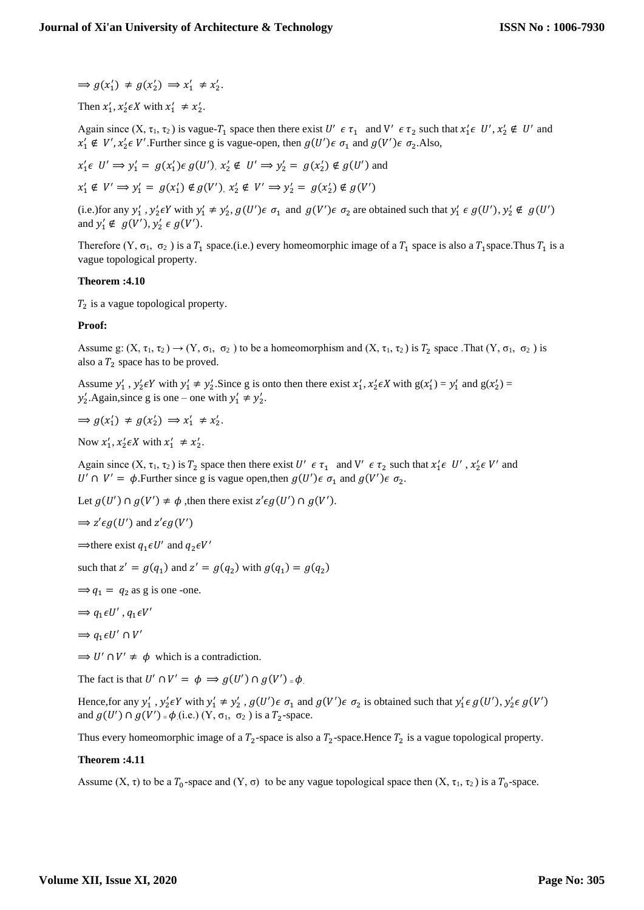$\Rightarrow g(x_1') \neq g(x_2') \Rightarrow x_1' \neq x_2'.$ 

Then  $x'_1$ ,  $x'_2 \in X$  with  $x'_1 \neq x'_2$ .

Again since  $(X, \tau_1, \tau_2)$  is vague- $T_1$  space then there exist  $U' \in \tau_1$  and  $V' \in \tau_2$  such that  $x'_1 \in U'$ ,  $x'_2 \notin U'$  and  $x'_1 \notin V'$ ,  $x'_2 \in V'$ . Further since g is vague-open, then  $g(U')\epsilon \sigma_1$  and  $g(V')\epsilon \sigma_2$ . Also,

$$
x'_1 \in U' \implies y'_1 = g(x'_1) \in g(U'), x'_2 \notin U' \implies y'_2 = g(x'_2) \notin g(U')
$$
 and

 $x'_1 \notin V' \implies y'_1 = g(x'_1) \notin g(V')$ ,  $x'_2 \notin V' \implies y'_2 = g(x'_2) \notin g(V')$ 

(i.e.) for any  $y'_1$ ,  $y'_2 \in Y$  with  $y'_1 \neq y'_2$ ,  $g(U')\in \sigma_1$  and  $g(V')\in \sigma_2$  are obtained such that  $y'_1 \in g(U')$ ,  $y'_2 \notin g(U')$ and  $y'_1 \notin g(V'), y'_2 \in g(V').$ 

Therefore  $(Y, \sigma_1, \sigma_2)$  is a  $T_1$  space.(i.e.) every homeomorphic image of a  $T_1$  space is also a  $T_1$  space.Thus  $T_1$  is a vague topological property.

### **Theorem :4.10**

 $T_2$  is a vague topological property.

### **Proof:**

Assume g:  $(X, \tau_1, \tau_2) \rightarrow (Y, \sigma_1, \sigma_2)$  to be a homeomorphism and  $(X, \tau_1, \tau_2)$  is  $T_2$  space. That  $(Y, \sigma_1, \sigma_2)$  is also a  $T_2$  space has to be proved.

Assume  $y'_1$ ,  $y'_2 \in Y$  with  $y'_1 \neq y'_2$ . Since g is onto then there exist  $x'_1$ ,  $x'_2 \in X$  with  $g(x'_1) = y'_1$  and  $g(x'_2) =$  $y'_2$ . Again, since g is one – one with  $y'_1 \neq y'_2$ .

 $\Rightarrow g(x_1') \neq g(x_2') \Rightarrow x_1' \neq x_2'.$ 

Now  $x'_1$ ,  $x'_2 \in X$  with  $x'_1 \neq x'_2$ .

Again since  $(X, \tau_1, \tau_2)$  is  $T_2$  space then there exist  $U' \in \tau_1$  and  $V' \in \tau_2$  such that  $x'_1 \in U'$ ,  $x'_2 \in V'$  and *U'* ∩ *V'* =  $\phi$ . Further since g is vague open, then  $g(U')\epsilon \sigma_1$  and  $g(V')\epsilon \sigma_2$ .

Let  $g(U') \cap g(V') \neq \phi$ , then there exist  $z' \epsilon g(U') \cap g(V')$ .

$$
\Rightarrow
$$
  $z' \epsilon g(U')$  and  $z' \epsilon g(V')$ 

⇒there exist  $q_1 \in U'$  and  $q_2 \in V'$ 

such that  $z' = g(q_1)$  and  $z' = g(q_2)$  with  $g(q_1) = g(q_2)$ 

- $\Rightarrow$   $q_1 = q_2$  as g is one -one.
- $\Rightarrow$   $q_1 \epsilon U'$ ,  $q_1 \epsilon V'$
- $\Rightarrow$   $q_1 \in U' \cap V'$

 $\Rightarrow$  U'  $\cap$  V'  $\neq$   $\phi$  which is a contradiction.

The fact is that  $U' \cap V' = \phi \implies g(U') \cap g(V') = \phi$ .

Hence, for any  $y'_1$ ,  $y'_2 \in Y$  with  $y'_1 \neq y'_2$ ,  $g(U')\in \sigma_1$  and  $g(V')\in \sigma_2$  is obtained such that  $y'_1 \in g(U')$ ,  $y'_2 \in g(V')$ and  $g(U') \cap g(V') = \phi$  (i.e.)  $(Y, \sigma_1, \sigma_2)$  is a  $T_2$ -space.

Thus every homeomorphic image of a  $T_2$ -space is also a  $T_2$ -space. Hence  $T_2$  is a vague topological property.

#### **Theorem :4.11**

Assume  $(X, \tau)$  to be a  $T_0$ -space and  $(Y, \sigma)$  to be any vague topological space then  $(X, \tau_1, \tau_2)$  is a  $T_0$ -space.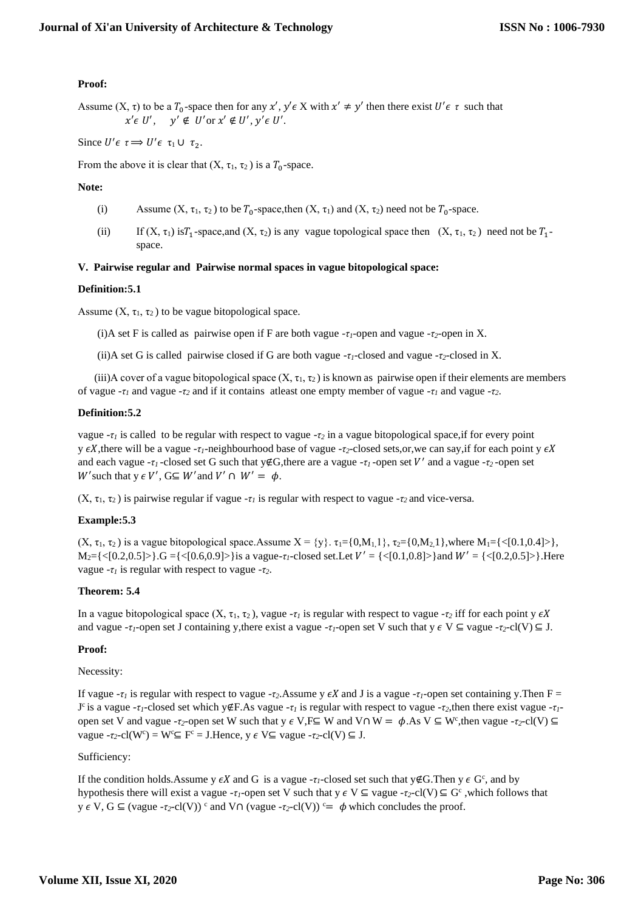# **Proof:**

Assume  $(X, \tau)$  to be a  $T_0$ -space then for any  $x', y' \in X$  with  $x' \neq y'$  then there exist  $U' \in \tau$  such that  $x' \in U', \quad y' \notin U'$  or  $x' \notin U', y' \in U'.$ 

Since  $U' \epsilon \tau \Rightarrow U' \epsilon \tau_1 \cup \tau_2$ .

From the above it is clear that  $(X, \tau_1, \tau_2)$  is a  $T_0$ -space.

# **Note:**

- (i) Assume  $(X, \tau_1, \tau_2)$  to be  $T_0$ -space,then  $(X, \tau_1)$  and  $(X, \tau_2)$  need not be  $T_0$ -space.
- (ii) If  $(X, \tau_1)$  is  $T_1$ -space, and  $(X, \tau_2)$  is any vague topological space then  $(X, \tau_1, \tau_2)$  need not be  $T_1$ space.

# **V. Pairwise regular and Pairwise normal spaces in vague bitopological space:**

# **Definition:5.1**

Assume  $(X, \tau_1, \tau_2)$  to be vague bitopological space.

(i)A set F is called as pairwise open if F are both vague -*τ1*-open and vague -*τ2*-open in X.

(ii)A set G is called pairwise closed if G are both vague -*τ1*-closed and vague -*τ2*-closed in X.

(iii)A cover of a vague bitopological space  $(X, \tau_1, \tau_2)$  is known as pairwise open if their elements are members of vague -*τ<sup>1</sup>* and vague -*τ<sup>2</sup>* and if it contains atleast one empty member of vague -*τ<sup>1</sup>* and vague -*τ2*.

# **Definition:5.2**

vague -*τ<sup>1</sup>* is called to be regular with respect to vague -*τ<sup>2</sup>* in a vague bitopological space,if for every point y  $\epsilon X$ , there will be a vague -*τ*<sub>*1*</sub>-neighbourhood base of vague -*τ*<sub>2</sub>-closed sets,or, we can say, if for each point y  $\epsilon X$ and each vague -*τ1* -closed set G such that y∉G,there are a vague -*τ1* -open set ′ and a vague -*τ2* -open set W' such that  $y \in V'$ ,  $G \subseteq W'$  and  $V' \cap W' = \phi$ .

(X, τ<sub>1</sub>, τ<sub>2</sub>) is pairwise regular if vague  $-τ<sub>I</sub>$  is regular with respect to vague  $-τ<sub>2</sub>$  and vice-versa.

# **Example:5.3**

 $(X, \tau_1, \tau_2)$  is a vague bitopological space. Assume  $X = \{y\}$ .  $\tau_1 = \{0, M_1, 1\}$ ,  $\tau_2 = \{0, M_2, 1\}$ , where  $M_1 = \{ \langle 0, 1, 0, 4 \rangle \}$ ,  $M_2 = \{ \langle [0.2, 0.5] \rangle \}$ .G =  $\{ \langle [0.6, 0.9] \rangle \}$  is a vague- $\tau_I$ -closed set.Let  $V' = \{ \langle [0.1, 0.8] \rangle \}$  and  $W' = \{ \langle [0.2, 0.5] \rangle \}$ .Here vague -*τ<sup>1</sup>* is regular with respect to vague -*τ2*.

# **Theorem: 5.4**

In a vague bitopological space  $(X, \tau_1, \tau_2)$ , vague  $-\tau_1$  is regular with respect to vague  $-\tau_2$  iff for each point y  $\epsilon X$ and vague -*τ*<sub>*I*</sub>-open set J containing y,there exist a vague -*τ*<sub>*I*</sub>-open set V such that  $y \in V \subseteq$  vague -*τ*<sub>*2*</sub>-cl(V)  $\subseteq$  J.

# **Proof:**

#### Necessity:

If vague  $-\tau$ *<sub><i>i*</sub> is regular with respect to vague  $-\tau$ <sub>2</sub>.Assume y  $\epsilon X$  and J is a vague  $-\tau$ *<sub>1</sub>*-open set containing y.Then F = J <sup>c</sup>is a vague -*τ1*-closed set which y∉F.As vague -*τ<sup>1</sup>* is regular with respect to vague -*τ2*,then there exist vague -*τ1* open set V and vague -*τ*<sub>2</sub>-open set W such that y  $\epsilon$  V, F⊆ W and V∩ W =  $\phi$ . As V ⊆ W<sup>c</sup>, then vague -*τ*<sub>2</sub>-cl(V) ⊆ vague  $-\tau_2$ -cl(W<sup>c</sup>) = W<sup>c</sup>  $\subseteq$  F<sup>c</sup> = J.Hence, y  $\in$  V $\subseteq$  vague  $-\tau_2$ -cl(V)  $\subseteq$  J.

# Sufficiency:

If the condition holds. Assume y  $\epsilon X$  and G is a vague - $\tau$ *<sub>1</sub>*-closed set such that y∉G. Then y  $\epsilon$  G<sup>c</sup>, and by hypothesis there will exist a vague - $\tau$ *<sub>1</sub>*-open set V such that  $y \in V \subseteq \text{vague -}\tau_2\text{-}cl(V) \subseteq G^c$ , which follows that  $y \in V$ ,  $G \subseteq (vague - r_2 \text{-}cl(V))$ <sup>c</sup> and  $V \cap (vague - r_2 \text{-}cl(V))$ <sup>c</sup> $= \phi$  which concludes the proof.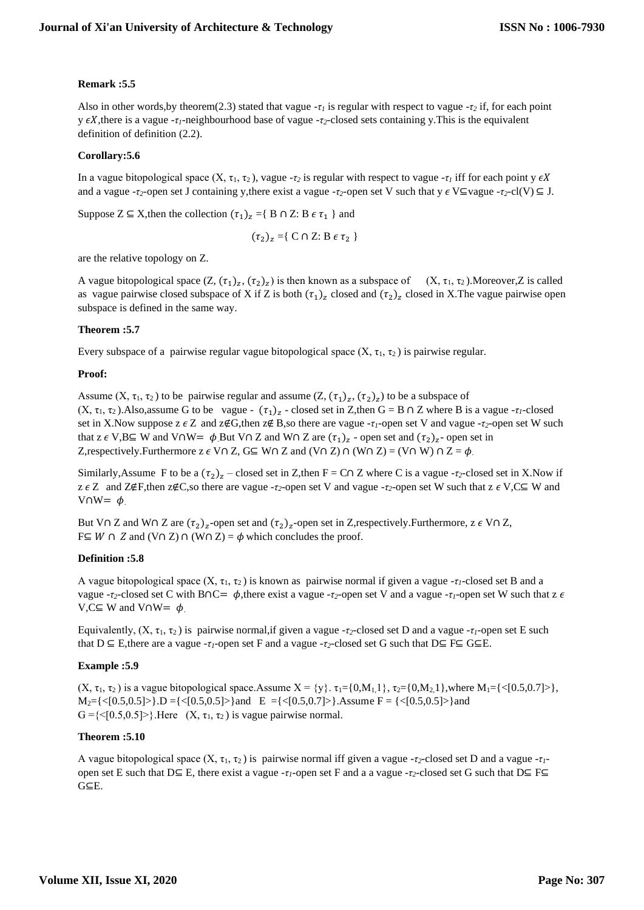# **Remark :5.5**

Also in other words,by theorem(2.3) stated that vague -*τ<sup>1</sup>* is regular with respect to vague -*τ<sup>2</sup>* if, for each point y  $\epsilon X$ , there is a vague -*τ*<sub>*l*</sub>-neighbourhood base of vague -*τ*<sub>2</sub>-closed sets containing y. This is the equivalent definition of definition (2.2).

# **Corollary:5.6**

In a vague bitopological space  $(X, \tau_1, \tau_2)$ , vague - $\tau_2$  is regular with respect to vague - $\tau_1$  iff for each point y  $\epsilon X$ and a vague - $\tau_2$ -open set J containing y,there exist a vague - $\tau_2$ -open set V such that y  $\epsilon$  V⊆vague - $\tau_2$ -cl(V) ⊆ J.

Suppose Z ⊆ X,then the collection  $(\tau_1)_z = \{ B \cap Z : B \in \tau_1 \}$  and

$$
(\tau_2)_z = \{ C \cap Z : B \in \tau_2 \}
$$

are the relative topology on Z.

A vague bitopological space  $(Z, (\tau_1)_z, (\tau_2)_z)$  is then known as a subspace of  $(X, \tau_1, \tau_2)$ . Moreover, Z is called as vague pairwise closed subspace of X if Z is both  $(\tau_1)_z$  closed and  $(\tau_2)_z$  closed in X. The vague pairwise open subspace is defined in the same way.

# **Theorem :5.7**

Every subspace of a pairwise regular vague bitopological space  $(X, \tau_1, \tau_2)$  is pairwise regular.

# **Proof:**

Assume  $(X, \tau_1, \tau_2)$  to be pairwise regular and assume  $(Z, (\tau_1)_z, (\tau_2)_z)$  to be a subspace of  $(X, \tau_1, \tau_2)$ . Also, assume G to be vague -  $(\tau_1)_z$  - closed set in Z, then G = B  $\cap$  Z where B is a vague - $\tau_1$ -closed set in X.Now suppose  $z \in Z$  and  $z \notin G$ , then  $z \notin B$ , so there are vague - $\tau_l$ -open set V and vague - $\tau_2$ -open set W such that z  $\epsilon$  V,B⊆ W and V∩W=  $\phi$ .But V∩ Z and W∩ Z are  $(\tau_1)_z$  - open set and  $(\tau_2)_z$ - open set in Z, respectively. Furthermore z  $\epsilon$  V∩ Z, G⊆ W∩ Z and (V∩ Z) ∩ (W∩ Z) = (V∩ W) ∩ Z =  $\phi$ .

Similarly, Assume F to be a  $(\tau_2)_z$  – closed set in Z, then F = C∩ Z where C is a vague - $\tau_2$ -closed set in X.Now if z Z and Z∉F,then z∉C,so there are vague -*τ2*-open set V and vague -*τ2*-open set W such that z V,C⊆ W and V∩W=  $\phi$ 

But V∩ Z and W∩ Z are  $(\tau_2)_z$ -open set and  $(\tau_2)_z$ -open set in Z,respectively. Furthermore, z  $\epsilon$  V∩ Z, F⊆ *W* ∩ *Z* and (V∩ *Z*) ∩ (W∩ *Z*) =  $\phi$  which concludes the proof.

# **Definition :5.8**

A vague bitopological space  $(X, \tau_1, \tau_2)$  is known as pairwise normal if given a vague - $\tau_1$ -closed set B and a vague -*τ*<sub>2</sub>-closed set C with B∩C=  $\phi$ , there exist a vague -*τ*<sub>2</sub>-open set V and a vague -*τ*<sub>*1*</sub>-open set W such that z  $\epsilon$ V, C⊆ W and V∩W=  $\phi$ .

Equivalently,  $(X, \tau_1, \tau_2)$  is pairwise normal, if given a vague - $\tau_2$ -closed set D and a vague - $\tau_1$ -open set E such that D ⊆ E,there are a vague -*τ1*-open set F and a vague -*τ2*-closed set G such that D⊆ F⊆ G⊆E.

# **Example :5.9**

(X,  $\tau_1$ ,  $\tau_2$ ) is a vague bitopological space.Assume  $X = \{y\}$ .  $\tau_1 = \{0, M_1, 1\}$ ,  $\tau_2 = \{0, M_2, 1\}$ , where  $M_1 = \{ \langle 0.5, 0.7 \rangle \}$ ,  $M_2 = \{ \langle [0.5, 0.5] \rangle \}$ .D =  $\{ \langle [0.5, 0.5] \rangle \}$  and E =  $\{ \langle [0.5, 0.7] \rangle \}$ .Assume F =  $\{ \langle [0.5, 0.5] \rangle \}$  and  $G = \{ \langle 0.5, 0.5 \rangle \}$ . Here  $(X, \tau_1, \tau_2)$  is vague pairwise normal.

# **Theorem :5.10**

A vague bitopological space  $(X, \tau_1, \tau_2)$  is pairwise normal iff given a vague - $\tau_2$ -closed set D and a vague - $\tau_1$ open set E such that D⊆ E, there exist a vague -*τ1*-open set F and a a vague -*τ2*-closed set G such that D⊆ F⊆ G⊆E.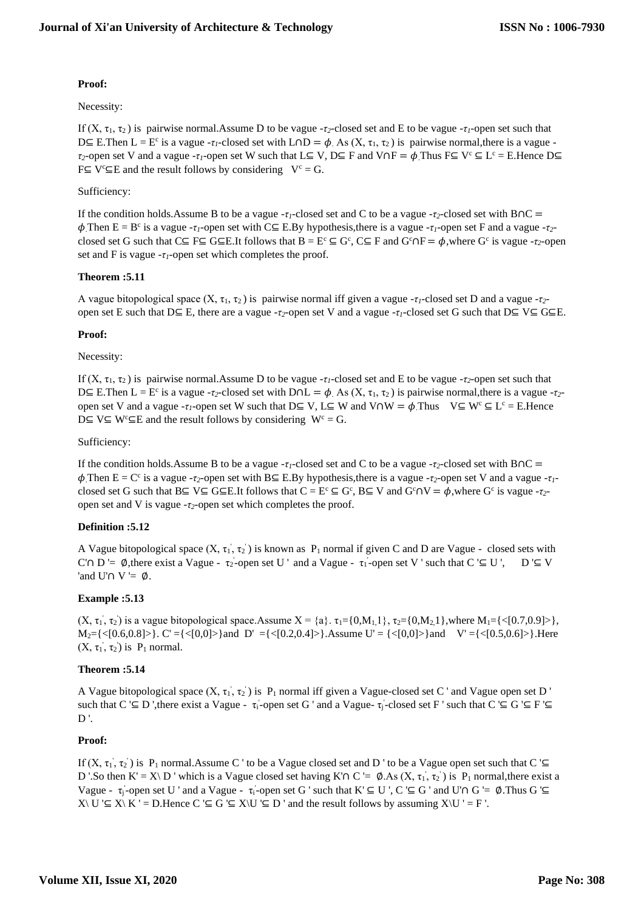# **Proof:**

# Necessity:

If  $(X, τ<sub>1</sub>, τ<sub>2</sub>)$  is pairwise normal.Assume D to be vague -*τ*<sub>2</sub>-closed set and E to be vague -*τ*<sub>*l*</sub>-open set such that D⊆ E.Then L = E<sup>c</sup> is a vague -*τ<sub>1</sub>*-closed set with L∩D =  $\phi$ . As (X, τ<sub>1</sub>, τ<sub>2</sub>) is pairwise normal, there is a vague *τ*<sub>2</sub>-open set V and a vague -*τ*<sub>*I*</sub>-open set W such that L⊆ V, D⊆ F and V∩F =  $\phi$  Thus F⊆ V<sup>c</sup> ⊆ L<sup>c</sup> = E.Hence D⊆  $F \subseteq V^c \subseteq E$  and the result follows by considering  $V^c = G$ .

# Sufficiency:

If the condition holds.Assume B to be a vague -*τ1*-closed set and C to be a vague -*τ2*-closed set with B∩C =  $\phi$  Then E = B<sup>c</sup> is a vague -*τ*<sub>*I*</sub>-open set with C ≡ E.By hypothesis, there is a vague -*τ*<sub>*I*</sub>-open set F and a vague -*τ*<sub>2</sub>closed set G such that  $C \subseteq F \subseteq G \subseteq E$ .It follows that  $B = E^c \subseteq G^c$ ,  $C \subseteq F$  and  $G^c \cap F = \phi$ , where  $G^c$  is vague - $\tau_2$ -open set and F is vague  $-\tau_l$ -open set which completes the proof.

# **Theorem :5.11**

A vague bitopological space  $(X, \tau_1, \tau_2)$  is pairwise normal iff given a vague - $\tau_1$ -closed set D and a vague - $\tau_2$ open set E such that D⊆ E, there are a vague -*τ2*-open set V and a vague -*τ1*-closed set G such that D⊆ V⊆ G⊆E.

# **Proof:**

# Necessity:

If  $(X, \tau_1, \tau_2)$  is pairwise normal. Assume D to be vague -*τ<sub>l</sub>*-closed set and E to be vague -*τ*<sub>2</sub>-open set such that D⊆ E.Then L = E<sup>c</sup> is a vague -*τ*<sub>2</sub>-closed set with D∩L =  $\phi$ . As (X, τ<sub>1</sub>, τ<sub>2</sub>) is pairwise normal, there is a vague -τ<sub>2</sub>open set V and a vague -*τ<sub>1</sub>*-open set W such that D⊆ V, L⊆ W and V∩W =  $\phi$ . Thus V⊆ W<sup>c</sup> ⊆ L<sup>c</sup> = E. Hence D⊆ V⊆ W<sup>c</sup>⊆E and the result follows by considering W<sup>c</sup> = G.

# Sufficiency:

If the condition holds.Assume B to be a vague -*τ1*-closed set and C to be a vague -*τ2*-closed set with B∩C =  $\phi$ . Then E = C<sup>c</sup> is a vague -*τ*<sub>2</sub>-open set with B  $\subseteq$  E. By hypothesis, there is a vague -*τ*<sub>2</sub>-open set V and a vague -*τ*<sub>1</sub>closed set G such that  $B \subseteq V \subseteq G \subseteq E$ .It follows that  $C = E^c \subseteq G^c$ ,  $B \subseteq V$  and  $G^c \cap V = \phi$ , where  $G^c$  is vague - $\tau_2$ open set and V is vague -*τ2*-open set which completes the proof.

# **Definition :5.12**

A Vague bitopological space  $(X, \tau_1, \tau_2)$  is known as  $P_1$  normal if given C and D are Vague - closed sets with C'∩ D '=  $\emptyset$ , there exist a Vague -  $\tau_2$ -open set U ' and a Vague -  $\tau_1$ -open set V ' such that C '⊆ U ', D '⊆ V 'and U'∩ V '=  $\phi$ .

# **Example :5.13**

 $(X, \tau_1, \tau_2)$  is a vague bitopological space. Assume  $X = \{a\}$ .  $\tau_1 = \{0, M_1, 1\}$ ,  $\tau_2 = \{0, M_2, 1\}$ , where  $M_1 = \{ \langle [0.7, 0.9] \rangle \}$ ,  $M_2 = \{ \langle [0.6, 0.8] \rangle \}$ . C' = { $\langle [0.0] \rangle$ } and D' = { $\langle [0.2, 0.4] \rangle$ }.Assume U' = { $\langle [0.0] \rangle$ } and V' = { $\langle [0.5, 0.6] \rangle$ }.Here  $(X, \tau_1, \tau_2)$  is  $P_1$  normal.

# **Theorem :5.14**

A Vague bitopological space  $(X, \tau_1, \tau_2)$  is  $P_1$  normal iff given a Vague-closed set C ' and Vague open set D ' such that  $C \subseteq D$ , there exist a Vague -  $\tau_i$ -open set G ' and a Vague-  $\tau_i$ -closed set F ' such that  $C \subseteq G \subseteq F \subseteq$  $D'$ .

# **Proof:**

If  $(X, \tau_1, \tau_2)$  is P<sub>1</sub> normal.Assume C ' to be a Vague closed set and D ' to be a Vague open set such that C '⊆ D '.So then K' = X\ D ' which is a Vague closed set having K'∩ C '= Ø.As  $(X, \tau_1, \tau_2)$  is P<sub>1</sub> normal, there exist a Vague -  $\tau_i$ -open set U ' and a Vague -  $\tau_i$ -open set G ' such that  $K \subseteq U'$ ,  $C \subseteq G$  ' and U'∩ G '= Ø.Thus G '⊆  $X\setminus U \subseteq X\setminus K' = D$ . Hence  $C \subseteq G \subseteq X\setminus U \subseteq D'$  and the result follows by assuming  $X\setminus U' = F'$ .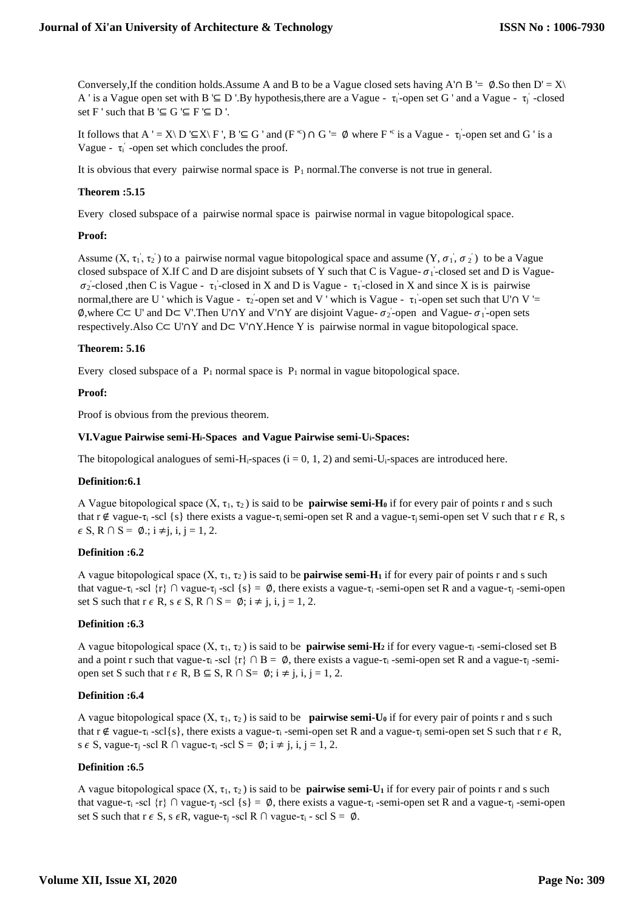Conversely,If the condition holds.Assume A and B to be a Vague closed sets having A'∩ B '=  $\emptyset$ .So then D' = X\ A ' is a Vague open set with B ' $\subseteq$  D '.By hypothesis, there are a Vague -  $\tau_i$ -open set G ' and a Vague -  $\tau_j$ ' -closed set F ' such that  $B \subseteq G \subseteq F \subseteq D$  '.

It follows that  $A' = X \setminus D' \subseteq X \setminus F'$ ,  $B' \subseteq G'$  and  $(F'^c) \cap G' = \emptyset$  where  $F^c$  is a Vague -  $\tau_j$ -open set and G' is a Vague -  $\tau_i$  -open set which concludes the proof.

It is obvious that every pairwise normal space is  $P_1$  normal. The converse is not true in general.

### **Theorem :5.15**

Every closed subspace of a pairwise normal space is pairwise normal in vague bitopological space.

### **Proof:**

Assume  $(X, \tau_1, \tau_2)$  to a pairwise normal vague bitopological space and assume  $(Y, \sigma_1, \sigma_2)$  to be a Vague closed subspace of X.If C and D are disjoint subsets of Y such that C is Vague- $\sigma_1$ -closed set and D is Vague- $\sigma_2$ -closed ,then C is Vague -  $\tau_1$ -closed in X and D is Vague -  $\tau_1$ -closed in X and since X is is pairwise normal, there are U ' which is Vague -  $\tau_2$ -open set and V ' which is Vague -  $\tau_1$ -open set such that U' $\cap$  V '= Ø,where C⊂ U' and D⊂ V'.Then U'∩Y and V'∩Y are disjoint Vague-  $\sigma_2$ -open and Vague-  $\sigma_1$ -open sets respectively.Also C⊂ U'∩Y and D⊂ V'∩Y.Hence Y is pairwise normal in vague bitopological space.

### **Theorem: 5.16**

Every closed subspace of a  $P_1$  normal space is  $P_1$  normal in vague bitopological space.

### **Proof:**

Proof is obvious from the previous theorem.

#### **VI.Vague Pairwise semi-Hi-Spaces and Vague Pairwise semi-Ui-Spaces:**

The bitopological analogues of semi-H<sub>i</sub>-spaces ( $i = 0, 1, 2$ ) and semi-U<sub>i</sub>-spaces are introduced here.

#### **Definition:6.1**

A Vague bitopological space  $(X, \tau_1, \tau_2)$  is said to be **pairwise semi-H<sub>0</sub>** if for every pair of points r and s such that r ∉ vague-τ<sub>i</sub> -scl {s} there exists a vague-τ<sub>i</sub> semi-open set R and a vague-τ<sub>i</sub> semi-open set V such that r  $\epsilon$  R, s  $\epsilon$  S, R  $\cap$  S =  $\emptyset$ .;  $i \neq j$ ,  $i, j = 1, 2$ .

### **Definition :6.2**

A vague bitopological space  $(X, \tau_1, \tau_2)$  is said to be **pairwise semi-H**<sub>1</sub> if for every pair of points r and s such that vague-τ<sub>i</sub> -scl {r} ∩ vague-τ<sub>i</sub> -scl {s} =  $\emptyset$ , there exists a vague- $\tau_i$ -semi-open set R and a vague-τ<sub>i</sub> -semi-open set S such that  $r \in R$ ,  $s \in S$ ,  $R \cap S = \emptyset$ ;  $i \neq j$ ,  $i, j = 1, 2$ .

#### **Definition :6.3**

A vague bitopological space  $(X, \tau_1, \tau_2)$  is said to be **pairwise semi-H**<sub>2</sub> if for every vague- $\tau_i$ -semi-closed set B and a point r such that vague-τ<sub>i</sub> -scl  $\{r\} \cap B = \emptyset$ , there exists a vague-τ<sub>i</sub>-semi-open set R and a vague-τ<sub>i</sub>-semiopen set S such that  $r \in R$ ,  $B \subseteq S$ ,  $R \cap S = \emptyset$ ;  $i \neq j$ ,  $i, j = 1, 2$ .

#### **Definition :6.4**

A vague bitopological space  $(X, \tau_1, \tau_2)$  is said to be **pairwise semi-U<sub>0</sub>** if for every pair of points r and s such that r ∉ vague- $\tau_i$  -scl{s}, there exists a vague- $\tau_i$  -semi-open set R and a vague- $\tau_i$  semi-open set S such that r  $\epsilon$  R, s  $\epsilon$  S, vague- $\tau_i$  -scl R  $\cap$  vague- $\tau_i$  -scl S =  $\emptyset$ ;  $i \neq j$ ,  $i, j = 1, 2$ .

# **Definition :6.5**

A vague bitopological space  $(X, \tau_1, \tau_2)$  is said to be **pairwise semi-U**<sub>1</sub> if for every pair of points r and s such that vague-τ<sub>i</sub> -scl {r} ∩ vague-τ<sub>i</sub> -scl {s} =  $\emptyset$ , there exists a vague-τ<sub>i</sub> -semi-open set R and a vague-τ<sub>i</sub> -semi-open set S such that  $r \in S$ , s  $\in R$ , vague- $\tau_i$ -scl R  $\cap$  vague- $\tau_i$ -scl S =  $\emptyset$ .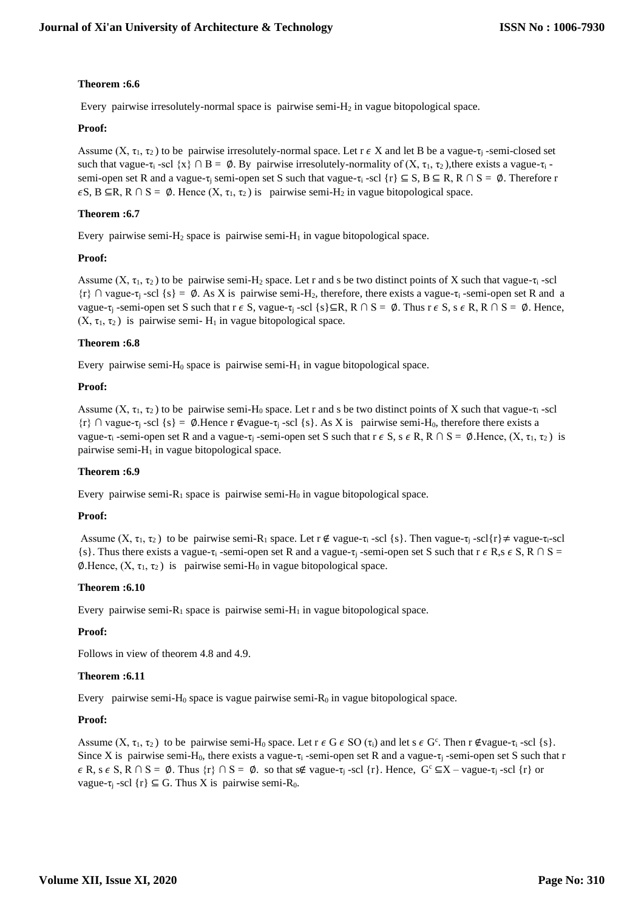# **Theorem :6.6**

Every pairwise irresolutely-normal space is pairwise semi-H<sup>2</sup> in vague bitopological space.

# **Proof:**

Assume  $(X, \tau_1, \tau_2)$  to be pairwise irresolutely-normal space. Let  $\tau \in X$  and let B be a vague- $\tau_i$ -semi-closed set such that vague-τ<sub>i</sub> -scl {x} ∩ B = Ø. By pairwise irresolutely-normality of  $(X, \tau_1, \tau_2)$ , there exists a vague- $\tau_i$ semi-open set R and a vague-τ<sub>i</sub> semi-open set S such that vague-τ<sub>i</sub> -scl  $\{r\} \subseteq S$ ,  $B \subseteq R$ ,  $R \cap S = \emptyset$ . Therefore r  $\epsilon S$ , B ⊆R, R ∩ S = Ø. Hence (X,  $\tau_1$ ,  $\tau_2$ ) is pairwise semi-H<sub>2</sub> in vague bitopological space.

# **Theorem :6.7**

Every pairwise semi-H<sub>2</sub> space is pairwise semi-H<sub>1</sub> in vague bitopological space.

# **Proof:**

Assume  $(X, \tau_1, \tau_2)$  to be pairwise semi-H<sub>2</sub> space. Let r and s be two distinct points of X such that vague- $\tau_i$ -scl  $\{r\}$  ∩ vague- $\tau_i$ -scl  $\{s\} = \emptyset$ . As X is pairwise semi-H<sub>2</sub>, therefore, there exists a vague- $\tau_i$ -semi-open set R and a vague-τ<sub>i</sub> -semi-open set S such that r  $\epsilon$  S, vague-τ<sub>i</sub> -scl {s}⊆R, R ∩ S = Ø. Thus r  $\epsilon$  S, s  $\epsilon$  R, R ∩ S = Ø. Hence,  $(X, \tau_1, \tau_2)$  is pairwise semi- H<sub>1</sub> in vague bitopological space.

# **Theorem :6.8**

Every pairwise semi-H<sub>0</sub> space is pairwise semi-H<sub>1</sub> in vague bitopological space.

# **Proof:**

Assume  $(X, \tau_1, \tau_2)$  to be pairwise semi-H<sub>0</sub> space. Let r and s be two distinct points of X such that vague- $\tau_i$ -scl  $\{r\}$  ∩ vague- $\tau_i$ -scl  $\{s\} = \emptyset$ . Hence r ∉vague- $\tau_i$ -scl  $\{s\}$ . As X is pairwise semi-H<sub>0</sub>, therefore there exists a vague-τ<sub>i</sub> -semi-open set R and a vague-τ<sub>i</sub> -semi-open set S such that  $r \in S$ ,  $s \in R$ ,  $R \cap S = \emptyset$ . Hence,  $(X, \tau_1, \tau_2)$  is pairwise semi- $H_1$  in vague bitopological space.

# **Theorem :6.9**

Every pairwise semi- $R_1$  space is pairwise semi- $H_0$  in vague bitopological space.

# **Proof:**

Assume  $(X, \tau_1, \tau_2)$  to be pairwise semi-R<sub>1</sub> space. Let r ∉ vague- $\tau_i$ -scl {s}. Then vague- $\tau_i$ -scl{r}≠ vague- $\tau_i$ -scl {s}. Thus there exists a vague- $\tau_i$ -semi-open set R and a vague- $\tau_i$ -semi-open set S such that  $r \in R$ ,  $s \in S$ , R  $\cap S =$  $\emptyset$ .Hence,  $(X, \tau_1, \tau_2)$  is pairwise semi-H<sub>0</sub> in vague bitopological space.

# **Theorem :6.10**

Every pairwise semi- $R_1$  space is pairwise semi- $H_1$  in vague bitopological space.

# **Proof:**

Follows in view of theorem 4.8 and 4.9.

# **Theorem :6.11**

Every pairwise semi-H<sub>0</sub> space is vague pairwise semi-R<sub>0</sub> in vague bitopological space.

# **Proof:**

Assume  $(X, \tau_1, \tau_2)$  to be pairwise semi-H<sub>0</sub> space. Let  $r \in G \in SO(\tau_i)$  and let  $s \in G^c$ . Then  $r \notin \text{vague-}\tau_i$ -scl  $\{s\}$ . Since X is pairwise semi-H<sub>0</sub>, there exists a vague- $\tau_i$ -semi-open set R and a vague- $\tau_i$ -semi-open set S such that r  $\epsilon$  R, s  $\epsilon$  S, R  $\cap$  S =  $\emptyset$ . Thus  $\{r\}$   $\cap$  S =  $\emptyset$ . so that s∉ vague- $\tau_i$  -scl  $\{r\}$ . Hence,  $G^c \subseteq X$  – vague- $\tau_i$  -scl  $\{r\}$  or vague-τ<sub>j</sub> -scl {r}  $\subseteq$  G. Thus X is pairwise semi-R<sub>0</sub>.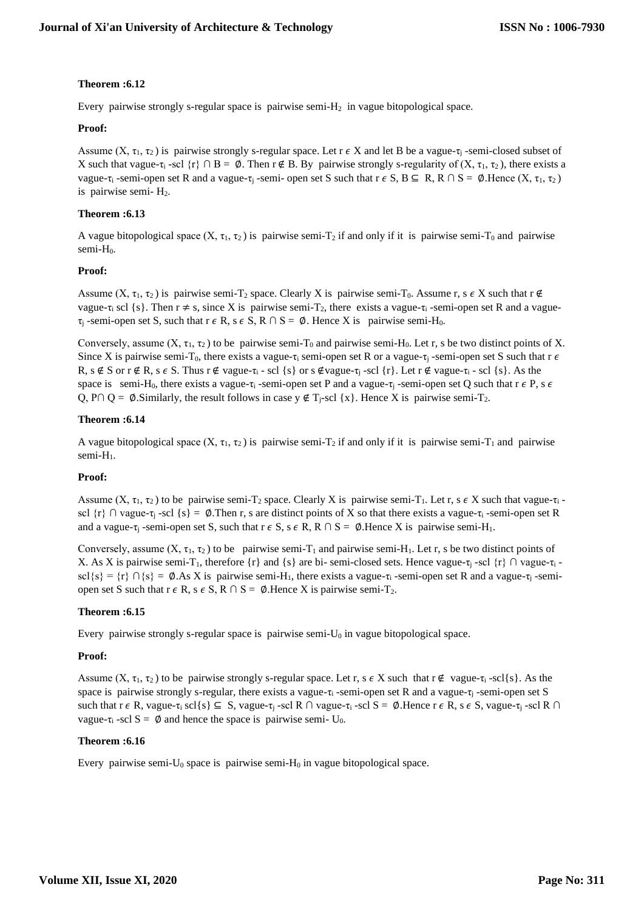# **Theorem :6.12**

Every pairwise strongly s-regular space is pairwise semi-H2 in vague bitopological space.

# **Proof:**

Assume  $(X, \tau_1, \tau_2)$  is pairwise strongly s-regular space. Let  $\tau \in X$  and let B be a vague- $\tau_i$ -semi-closed subset of X such that vague-τ<sub>i</sub> -scl  $\{r\} \cap B = \emptyset$ . Then  $r \notin B$ . By pairwise strongly s-regularity of  $(X, \tau_1, \tau_2)$ , there exists a vague-τ<sub>i</sub> -semi-open set R and a vague-τ<sub>i</sub>-semi-open set S such that  $r \in S$ ,  $B \subseteq R$ ,  $R \cap S = \emptyset$ . Hence  $(X, \tau_1, \tau_2)$ is pairwise semi- H2.

# **Theorem :6.13**

A vague bitopological space  $(X, \tau_1, \tau_2)$  is pairwise semi-T<sub>2</sub> if and only if it is pairwise semi-T<sub>0</sub> and pairwise semi-H<sub>0</sub>.

# **Proof:**

Assume  $(X, \tau_1, \tau_2)$  is pairwise semi-T<sub>2</sub> space. Clearly X is pairwise semi-T<sub>0</sub>. Assume r, s  $\epsilon X$  such that  $\tau \notin$ vague-τ<sub>i</sub> scl {s}. Then  $r \neq s$ , since X is pairwise semi-T<sub>2</sub>, there exists a vague-τ<sub>i</sub>-semi-open set R and a vague- $\tau_i$ -semi-open set S, such that  $r \in R$ , s  $\in S$ ,  $R \cap S = \emptyset$ . Hence X is pairwise semi-H<sub>0</sub>.

Conversely, assume  $(X, \tau_1, \tau_2)$  to be pairwise semi-T<sub>0</sub> and pairwise semi-H<sub>0</sub>. Let r, s be two distinct points of X. Since X is pairwise semi-T<sub>0</sub>, there exists a vague- $\tau_i$  semi-open set R or a vague- $\tau_i$ -semi-open set S such that r  $\epsilon$ R, s  $\notin$  S or  $r \not\in R$ , s  $\in$  S. Thus  $r \not\in$  vague- $\tau_i$  - scl {s} or s  $\notin$  vague- $\tau_i$  - scl {r}. Let  $r \not\in$  vague- $\tau_i$  - scl {s}. As the space is semi-H<sub>0</sub>, there exists a vague- $\tau_i$ -semi-open set P and a vague- $\tau_i$ -semi-open set Q such that  $r \in P$ , s  $\epsilon$ Q, P∩ Q = Ø.Similarly, the result follows in case  $y \notin T_i$ -scl {x}. Hence X is pairwise semi- $T_2$ .

# **Theorem :6.14**

A vague bitopological space  $(X, \tau_1, \tau_2)$  is pairwise semi-T<sub>2</sub> if and only if it is pairwise semi-T<sub>1</sub> and pairwise semi-H<sub>1</sub>.

# **Proof:**

Assume  $(X, \tau_1, \tau_2)$  to be pairwise semi-T<sub>2</sub> space. Clearly X is pairwise semi-T<sub>1</sub>. Let r, s  $\epsilon$  X such that vague- $\tau_i$ scl  $\{r\}$  ∩ vague- $\tau_j$ -scl  $\{s\}$  = Ø.Then r, s are distinct points of X so that there exists a vague- $\tau_i$ -semi-open set R and a vague- $\tau_i$ -semi-open set S, such that  $r \in S$ , s  $\in R$ ,  $R \cap S = \emptyset$ . Hence X is pairwise semi-H<sub>1</sub>.

Conversely, assume  $(X, \tau_1, \tau_2)$  to be pairwise semi-T<sub>1</sub> and pairwise semi-H<sub>1</sub>. Let r, s be two distinct points of X. As X is pairwise semi-T<sub>1</sub>, therefore {r} and {s} are bi- semi-closed sets. Hence vague-τ<sub>i</sub> -scl {r} ∩ vague-τ<sub>i</sub> scl{s} = {r} ∩{s} = Ø.As X is pairwise semi-H<sub>1</sub>, there exists a vague- $\tau_i$ -semi-open set R and a vague- $\tau_i$ -semiopen set S such that  $r \in R$ ,  $s \in S$ ,  $R \cap S = \emptyset$ . Hence X is pairwise semi-T<sub>2</sub>.

# **Theorem :6.15**

Every pairwise strongly s-regular space is pairwise semi- $U_0$  in vague bitopological space.

# **Proof:**

Assume  $(X, \tau_1, \tau_2)$  to be pairwise strongly s-regular space. Let r, s  $\epsilon X$  such that  $\epsilon \notin \text{vague-}\tau_1$ -scl{s}. As the space is pairwise strongly s-regular, there exists a vague- $\tau_i$ -semi-open set R and a vague- $\tau_i$ -semi-open set S such that  $r \in R$ , vague- $\tau_i$  scl{s}  $\subseteq S$ , vague- $\tau_i$ -scl  $R \cap$  vague- $\tau_i$ -scl  $S = \emptyset$ . Hence  $r \in R$ , s  $\in S$ , vague- $\tau_i$ -scl  $R \cap$ vague-τ<sub>i</sub> -scl  $S = \emptyset$  and hence the space is pairwise semi- U<sub>0</sub>.

# **Theorem :6.16**

Every pairwise semi- $U_0$  space is pairwise semi- $H_0$  in vague bitopological space.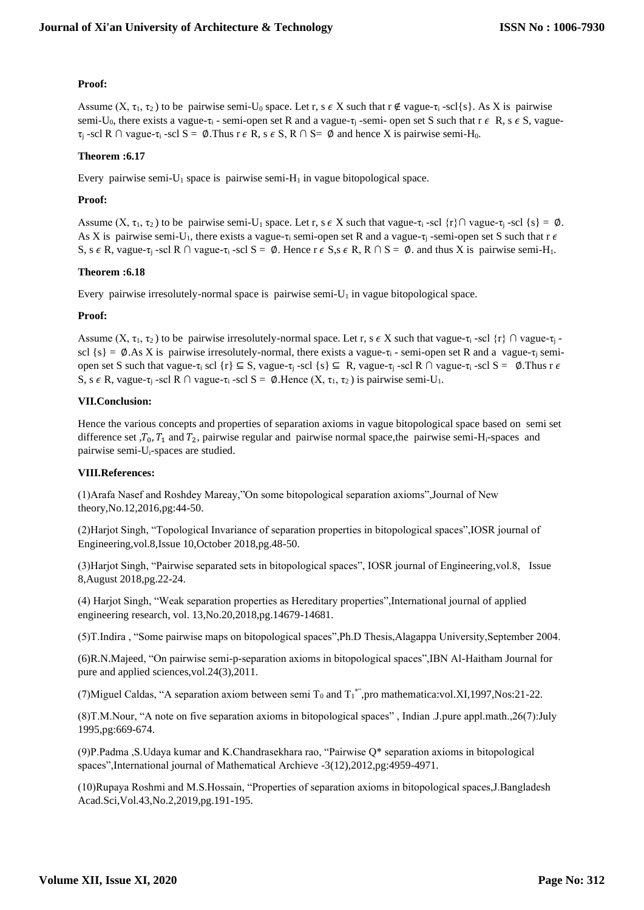# **Proof:**

Assume  $(X, \tau_1, \tau_2)$  to be pairwise semi-U<sub>0</sub> space. Let r, s  $\epsilon X$  such that  $\tau \notin \text{vague-}\tau_i$ -scl{s}. As X is pairwise semi-U<sub>0</sub>, there exists a vague- $\tau_i$  - semi-open set R and a vague- $\tau_i$ -semi-open set S such that  $r \in R$ , s  $\epsilon$  S, vague- $\tau_i$ -scl R  $\cap$  vague- $\tau_i$ -scl S = Ø.Thus r  $\epsilon$  R, s  $\epsilon$  S, R  $\cap$  S = Ø and hence X is pairwise semi-H<sub>0</sub>.

# **Theorem :6.17**

Every pairwise semi- $U_1$  space is pairwise semi- $H_1$  in vague bitopological space.

### **Proof:**

Assume  $(X, \tau_1, \tau_2)$  to be pairwise semi-U<sub>1</sub> space. Let r, s  $\epsilon X$  such that vague- $\tau_i$  -scl {r}∩ vague- $\tau_i$  -scl {s} =  $\emptyset$ . As X is pairwise semi-U<sub>1</sub>, there exists a vague-τ<sub>i</sub> semi-open set R and a vague-τ<sub>i</sub>-semi-open set S such that r  $\epsilon$ S, s  $\epsilon$  R, vague- $\tau$ <sub>i</sub> -scl R  $\cap$  vague- $\tau$ <sub>i</sub> -scl S =  $\emptyset$ . Hence r  $\epsilon$  S, s  $\epsilon$  R, R  $\cap$  S =  $\emptyset$ . and thus X is pairwise semi-H<sub>1</sub>.

### **Theorem :6.18**

Every pairwise irresolutely-normal space is pairwise semi- $U_1$  in vague bitopological space.

### **Proof:**

Assume  $(X, \tau_1, \tau_2)$  to be pairwise irresolutely-normal space. Let r, s  $\epsilon X$  such that vague- $\tau_1$ -scl  $\{\tau\}$   $\cap$  vague- $\tau_1$ scl  $\{s\} = \emptyset$ .As X is pairwise irresolutely-normal, there exists a vague- $\tau_i$  - semi-open set R and a vague- $\tau_i$  semiopen set S such that vague-τ<sub>i</sub> scl {r}  $\subseteq$  S, vague-τ<sub>i</sub> -scl {s}  $\subseteq$  R, vague-τ<sub>i</sub> -scl R  $\cap$  vague-τ<sub>i</sub> -scl S =  $\emptyset$ . Thus r  $\epsilon$ S, s  $\epsilon$  R, vague- $\tau_i$ -scl R  $\cap$  vague- $\tau_i$ -scl S = Ø.Hence  $(X, \tau_1, \tau_2)$  is pairwise semi-U<sub>1</sub>.

### **VII.Conclusion:**

Hence the various concepts and properties of separation axioms in vague bitopological space based on semi set difference set  $T_0$ ,  $T_1$  and  $T_2$ , pairwise regular and pairwise normal space, the pairwise semi-H<sub>i</sub>-spaces and pairwise semi-Ui-spaces are studied.

#### **VIII.References:**

(1)Arafa Nasef and Roshdey Mareay,"On some bitopological separation axioms",Journal of New theory,No.12,2016,pg:44-50.

(2)Harjot Singh, "Topological Invariance of separation properties in bitopological spaces",IOSR journal of Engineering,vol.8,Issue 10,October 2018,pg.48-50.

(3)Harjot Singh, "Pairwise separated sets in bitopological spaces", IOSR journal of Engineering,vol.8, Issue 8,August 2018,pg.22-24.

(4) Harjot Singh, "Weak separation properties as Hereditary properties",International journal of applied engineering research, vol. 13,No.20,2018,pg.14679-14681.

(5)T.Indira , "Some pairwise maps on bitopological spaces",Ph.D Thesis,Alagappa University,September 2004.

(6)R.N.Majeed, "On pairwise semi-p-separation axioms in bitopological spaces",IBN Al-Haitham Journal for pure and applied sciences,vol.24(3),2011.

(7) Miguel Caldas, "A separation axiom between semi  $T_0$  and  $T_1$ ", pro mathematica:vol.XI, 1997, Nos: 21-22.

(8)T.M.Nour, "A note on five separation axioms in bitopological spaces" , Indian .J.pure appl.math.,26(7):July 1995,pg:669-674.

(9)P.Padma ,S.Udaya kumar and K.Chandrasekhara rao, "Pairwise Q\* separation axioms in bitopological spaces",International journal of Mathematical Archieve -3(12),2012,pg:4959-4971.

(10)Rupaya Roshmi and M.S.Hossain, "Properties of separation axioms in bitopological spaces,J.Bangladesh Acad.Sci,Vol.43,No.2,2019,pg.191-195.